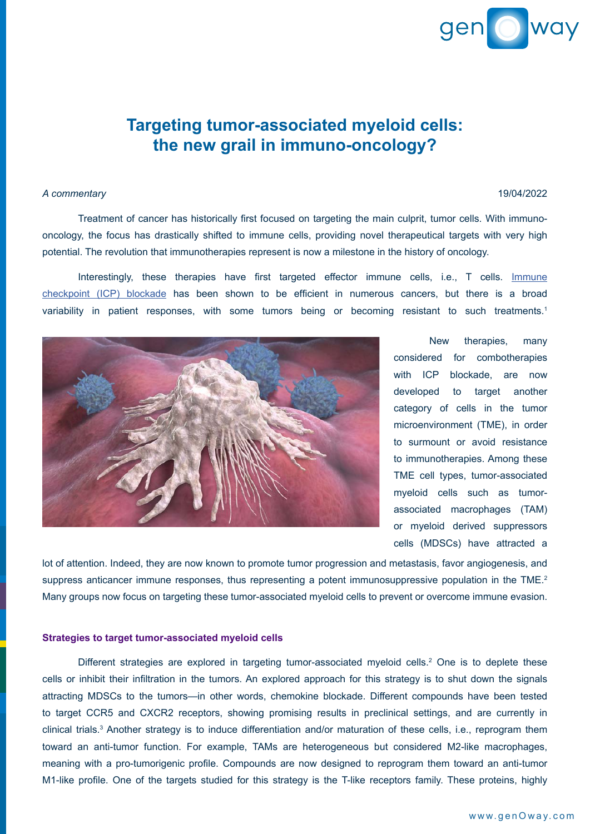# gen o way

## **Targeting tumor-associated myeloid cells: the new grail in immuno-oncology?**

# *A commentary* 19/04/2022

 Treatment of cancer has historically first focused on targeting the main culprit, tumor cells. With immunooncology, the focus has drastically shifted to immune cells, providing novel therapeutical targets with very high potential. The revolution that immunotherapies represent is now a milestone in the history of oncology.

 Interestingly, these therapies have first targeted effector immune cells, i.e., T cells. [Immune](https://www.genoway.com/commentaries/comment-icp.htm?utm_source=commentary&utm_medium=pdf&utm_campaign=webpage) [checkpoint](https://www.genoway.com/commentaries/comment-icp.htm?utm_source=commentary&utm_medium=pdf&utm_campaign=webpage) (ICP) blockade has been shown to be efficient in numerous cancers, but there is a broad variability in patient responses, with some tumors being or becoming resistant to such treatments.<sup>1</sup>



 New therapies, many considered for combotherapies with ICP blockade, are now developed to target another category of cells in the tumor microenvironment (TME), in order to surmount or avoid resistance to immunotherapies. Among these TME cell types, tumor-associated myeloid cells such as tumorassociated macrophages (TAM) or myeloid derived suppressors cells (MDSCs) have attracted a

lot of attention. Indeed, they are now known to promote tumor progression and metastasis, favor angiogenesis, and suppress anticancer immune responses, thus representing a potent immunosuppressive population in the TME.<sup>2</sup> Many groups now focus on targeting these tumor-associated myeloid cells to prevent or overcome immune evasion.

### **Strategies to target tumor-associated myeloid cells**

Different strategies are explored in targeting tumor-associated myeloid cells.<sup>2</sup> One is to deplete these cells or inhibit their infiltration in the tumors. An explored approach for this strategy is to shut down the signals attracting MDSCs to the tumors—in other words, chemokine blockade. Different compounds have been tested to target CCR5 and CXCR2 receptors, showing promising results in preclinical settings, and are currently in clinical trials.<sup>3</sup> Another strategy is to induce differentiation and/or maturation of these cells, i.e., reprogram them toward an anti-tumor function. For example, TAMs are heterogeneous but considered M2-like macrophages, meaning with a pro-tumorigenic profile. Compounds are now designed to reprogram them toward an anti-tumor M1-like profile. One of the targets studied for this strategy is the T-like receptors family. These proteins, highly